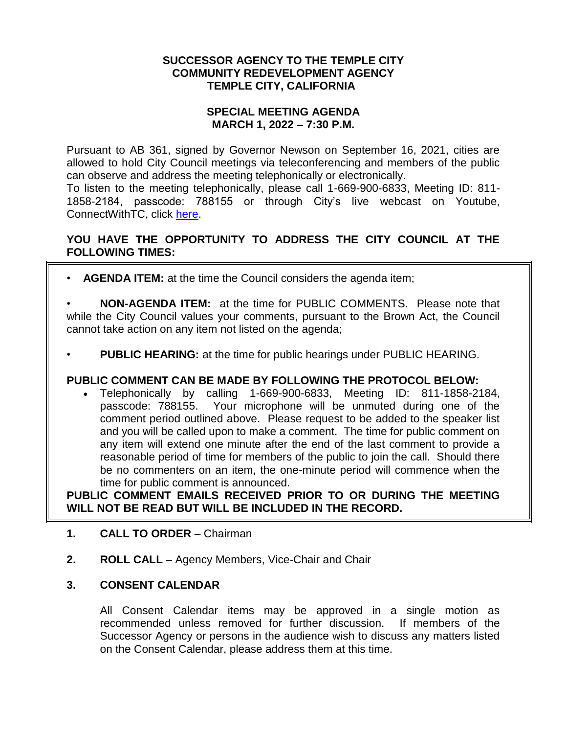#### **SUCCESSOR AGENCY TO THE TEMPLE CITY COMMUNITY REDEVELOPMENT AGENCY TEMPLE CITY, CALIFORNIA**

### **SPECIAL MEETING AGENDA MARCH 1, 2022 – 7:30 P.M.**

Pursuant to AB 361, signed by Governor Newson on September 16, 2021, cities are allowed to hold City Council meetings via teleconferencing and members of the public can observe and address the meeting telephonically or electronically.

To listen to the meeting telephonically, please call 1-669-900-6833, Meeting ID: 811- 1858-2184, passcode: 788155 or through City's live webcast on Youtube, ConnectWithTC, click [here.](https://www.ci.temple-city.ca.us/516/Meeting-Webcast)

# **YOU HAVE THE OPPORTUNITY TO ADDRESS THE CITY COUNCIL AT THE FOLLOWING TIMES:**

- **AGENDA ITEM:** at the time the Council considers the agenda item;
- **NON-AGENDA ITEM:** at the time for PUBLIC COMMENTS. Please note that while the City Council values your comments, pursuant to the Brown Act, the Council cannot take action on any item not listed on the agenda;
- **PUBLIC HEARING:** at the time for public hearings under PUBLIC HEARING.

### **PUBLIC COMMENT CAN BE MADE BY FOLLOWING THE PROTOCOL BELOW:**

 Telephonically by calling 1-669-900-6833, Meeting ID: 811-1858-2184, passcode: 788155. Your microphone will be unmuted during one of the comment period outlined above. Please request to be added to the speaker list and you will be called upon to make a comment. The time for public comment on any item will extend one minute after the end of the last comment to provide a reasonable period of time for members of the public to join the call. Should there be no commenters on an item, the one-minute period will commence when the time for public comment is announced.

**PUBLIC COMMENT EMAILS RECEIVED PRIOR TO OR DURING THE MEETING WILL NOT BE READ BUT WILL BE INCLUDED IN THE RECORD.**

- **1. CALL TO ORDER** Chairman
- **2. ROLL CALL**  Agency Members, Vice-Chair and Chair

### **3. CONSENT CALENDAR**

All Consent Calendar items may be approved in a single motion as recommended unless removed for further discussion. If members of the Successor Agency or persons in the audience wish to discuss any matters listed on the Consent Calendar, please address them at this time.